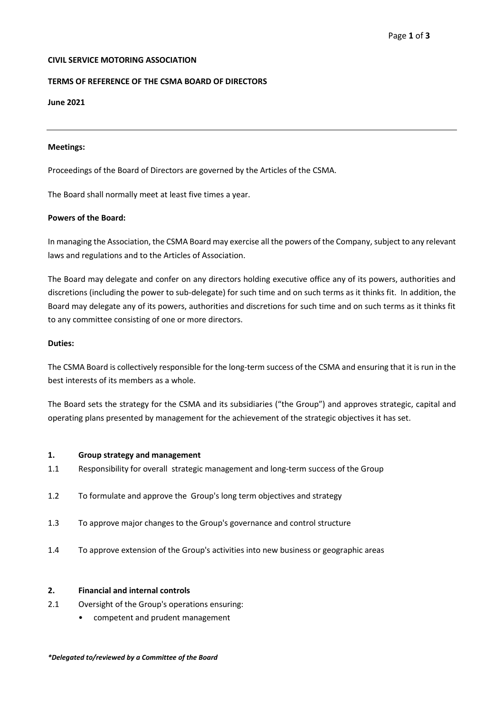# **CIVIL SERVICE MOTORING ASSOCIATION**

# **TERMS OF REFERENCE OF THE CSMA BOARD OF DIRECTORS**

## **June 2021**

#### **Meetings:**

Proceedings of the Board of Directors are governed by the Articles of the CSMA.

The Board shall normally meet at least five times a year.

## **Powers of the Board:**

In managing the Association, the CSMA Board may exercise all the powers of the Company, subject to any relevant laws and regulations and to the Articles of Association.

The Board may delegate and confer on any directors holding executive office any of its powers, authorities and discretions (including the power to sub-delegate) for such time and on such terms as it thinks fit. In addition, the Board may delegate any of its powers, authorities and discretions for such time and on such terms as it thinks fit to any committee consisting of one or more directors.

## **Duties:**

The CSMA Board is collectively responsible for the long-term success of the CSMA and ensuring that it is run in the best interests of its members as a whole.

The Board sets the strategy for the CSMA and its subsidiaries ("the Group") and approves strategic, capital and operating plans presented by management for the achievement of the strategic objectives it has set.

## **1. Group strategy and management**

- 1.1 Responsibility for overall strategic management and long-term success of the Group
- 1.2 To formulate and approve the Group's long term objectives and strategy
- 1.3 To approve major changes to the Group's governance and control structure
- 1.4 To approve extension of the Group's activities into new business or geographic areas

## **2. Financial and internal controls**

- 2.1 Oversight of the Group's operations ensuring:
	- competent and prudent management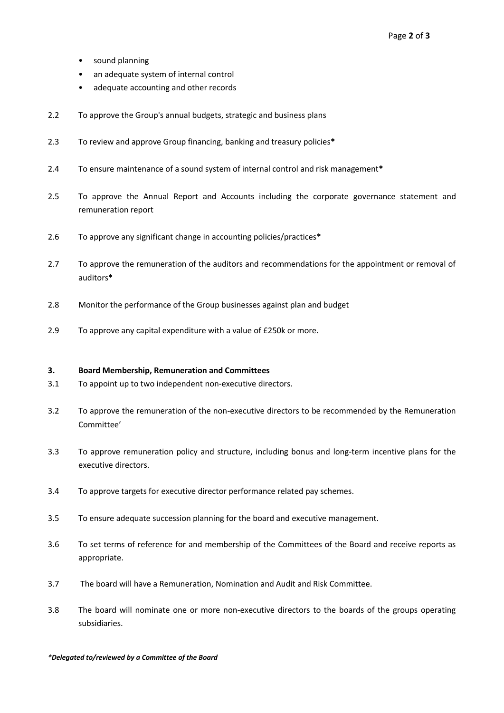- sound planning
- an adequate system of internal control
- adequate accounting and other records
- 2.2 To approve the Group's annual budgets, strategic and business plans
- 2.3 To review and approve Group financing, banking and treasury policies**\***
- 2.4 To ensure maintenance of a sound system of internal control and risk management**\***
- 2.5 To approve the Annual Report and Accounts including the corporate governance statement and remuneration report
- 2.6 To approve any significant change in accounting policies/practices**\***
- 2.7 To approve the remuneration of the auditors and recommendations for the appointment or removal of auditors**\***
- 2.8 Monitor the performance of the Group businesses against plan and budget
- 2.9 To approve any capital expenditure with a value of £250k or more.

## **3. Board Membership, Remuneration and Committees**

- 3.1 To appoint up to two independent non-executive directors.
- 3.2 To approve the remuneration of the non-executive directors to be recommended by the Remuneration Committee'
- 3.3 To approve remuneration policy and structure, including bonus and long-term incentive plans for the executive directors.
- 3.4 To approve targets for executive director performance related pay schemes.
- 3.5 To ensure adequate succession planning for the board and executive management.
- 3.6 To set terms of reference for and membership of the Committees of the Board and receive reports as appropriate.
- 3.7 The board will have a Remuneration, Nomination and Audit and Risk Committee.
- 3.8 The board will nominate one or more non-executive directors to the boards of the groups operating subsidiaries.